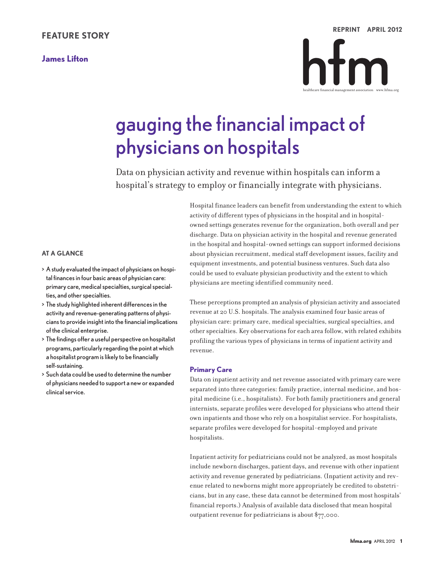# **FEATURE STORY**

# **James Lifton**

```
REPRINT APRIL 2012ntn
healthcare financial management association www.hfma.org
```
# gauging the financial impact of physicians on hospitals

Data on physician activity and revenue within hospitals can inform a hospital's strategy to employ or financially integrate with physicians.

### **AT A GLANCE**

- > Astudy evaluated the impact of physicians on hospital finances in four basic areas of physician care: primary care, medical specialties, surgical specialties, and other specialties.
- > The study highlighted inherent differencesin the activity and revenue-generating patterns of physiciansto provide insight into the financial implications of the clinical enterprise.
- > The findings offer a useful perspective on hospitalist programs, particularly regarding the point atwhich a hospitalist program is likely to be financially self-sustaining.
- > Such data could be used to determine the number of physicians needed to support a newor expanded clinicalservice.

Hospital finance leaders can benefit from understanding the extent to which activity of different types of physiciansin the hospital and in hospitalowned settings generates revenue for the organization, both overall and per discharge. Data on physician activity in the hospital and revenue generated in the hospital and hospital-owned settings can support informed decisions about physician recruitment, medical staff development issues, facility and equipment investments, and potential business ventures. Such data also could be used to evaluate physician productivity and the extent to which physicians are meeting identified community need.

These perceptions prompted an analysis of physician activity and associated revenue at 20 U.S. hospitals. The analysis examined four basic areas of physician care: primary care, medical specialties, surgical specialties, and other specialties. Key observations for each area follow, with related exhibits profiling the various types of physicians in terms of inpatient activity and revenue.

#### **Primary Care**

Data on inpatient activity and net revenue associated with primary care were separated into three categories: family practice, internal medicine, and hospital medicine (i.e., hospitalists). For both family practitioners and general internists, separate profiles were developed for physicians who attend their own inpatients and those who rely on a hospitalist service. For hospitalists, separate profiles were developed for hospital-employed and private hospitalists.

Inpatient activity for pediatricians could not be analyzed, as most hospitals include newborn discharges, patient days, and revenue with other inpatient activity and revenue generated by pediatricians. (Inpatient activity and revenue related to newborns might more appropriately be credited to obstetricians, but in any case, these data cannot be determined from most hospitals' financial reports.) Analysis of available data disclosed that mean hospital outpatient revenue for pediatricians is about \$77,000.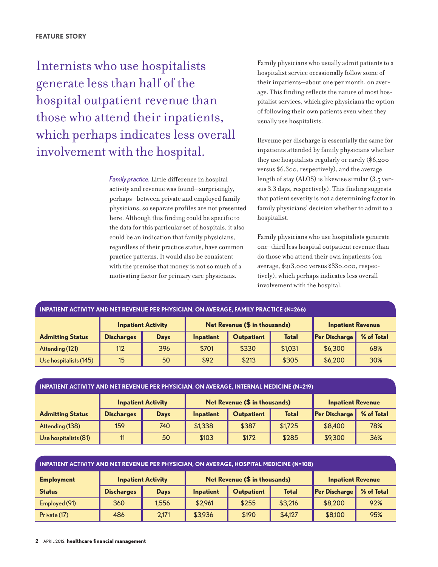Internists who use hospitalists generate lessthan half of the hospital outpatient revenue than those who attend their inpatients, which perhaps indicates less overall involvement with the hospital.

> *Family practice.* Little difference in hospital activity and revenue wasfound—surprisingly, perhaps—between private and employed family physicians, so separate profiles are not presented here. Although this finding could be specific to the data for this particular set of hospitals, it also could be an indication that family physicians, regardless of their practice status, have common practice patterns. It would also be consistent with the premise that money is not so much of a motivating factor for primary care physicians.

Family physicians who usually admit patients to a hospitalist service occasionally follow some of their inpatients—about one per month, on average. This finding reflects the nature of most hospitalist services, which give physicians the option of following their own patients even when they usually use hospitalists.

Revenue per discharge is essentially the same for inpatients attended by family physicians whether they use hospitalists regularly or rarely (\$6,200 versus \$6,300, respectively), and the average length of stay (ALOS) is likewise similar (3.5 versus 3.3 days, respectively). This finding suggests that patient severity is not a determining factor in family physicians' decision whether to admit to a hospitalist.

Family physicians who use hospitalists generate one-third less hospital outpatient revenue than do those who attend their own inpatients(on average, \$213,000 versus \$330,000, respectively), which perhapsindicatesless overall involvement with the hospital.

| <b>INPATIENT ACTIVITY AND NET REVENUE PER PHYSICIAN, ON AVERAGE, FAMILY PRACTICE (N=266)</b> |                   |                           |                               |                   |              |                          |            |  |  |
|----------------------------------------------------------------------------------------------|-------------------|---------------------------|-------------------------------|-------------------|--------------|--------------------------|------------|--|--|
|                                                                                              |                   | <b>Inpatient Activity</b> | Net Revenue (\$ in thousands) |                   |              | <b>Inpatient Revenue</b> |            |  |  |
| <b>Admitting Status</b>                                                                      | <b>Discharges</b> | <b>Days</b>               | Inpatient                     | <b>Outpatient</b> | <b>Total</b> | <b>Per Discharge</b>     | % of Total |  |  |
| Attending (121)                                                                              | 112               | 396                       | \$701                         | \$330             | \$1,031      | \$6,300                  | 68%        |  |  |
| Use hospitalists (145)                                                                       | 15                | 50                        | \$92                          | \$213             | \$305        | \$6,200                  | 30%        |  |  |

| <b>INPATIENT ACTIVITY AND NET REVENUE PER PHYSICIAN, ON AVERAGE, INTERNAL MEDICINE (N=219)</b> |                   |                           |                               |                   |              |                          |            |  |  |
|------------------------------------------------------------------------------------------------|-------------------|---------------------------|-------------------------------|-------------------|--------------|--------------------------|------------|--|--|
|                                                                                                |                   | <b>Inpatient Activity</b> | Net Revenue (\$ in thousands) |                   |              | <b>Inpatient Revenue</b> |            |  |  |
| <b>Admitting Status</b>                                                                        | <b>Discharges</b> | Days                      | Inpatient                     | <b>Outpatient</b> | <b>Total</b> | Per Discharge            | % of Total |  |  |
| Attending (138)                                                                                | 159               | 740                       | \$1,338                       | \$387             | \$1,725      | \$8,400                  | 78%        |  |  |
| Use hospitalists (81)                                                                          | 11                | 50                        | \$103                         | \$172             | \$285        | \$9,300                  | 36%        |  |  |

| INPATIENT ACTIVITY AND NET REVENUE PER PHYSICIAN, ON AVERAGE, HOSPITAL MEDICINE (N=108) |                   |                           |                               |                   |              |                          |            |  |  |
|-----------------------------------------------------------------------------------------|-------------------|---------------------------|-------------------------------|-------------------|--------------|--------------------------|------------|--|--|
| <b>Employment</b>                                                                       |                   | <b>Inpatient Activity</b> | Net Revenue (\$ in thousands) |                   |              | <b>Inpatient Revenue</b> |            |  |  |
| <b>Status</b>                                                                           | <b>Discharges</b> | <b>Days</b>               | Inpatient                     | <b>Outpatient</b> | <b>Total</b> | <b>Per Discharge</b>     | % of Total |  |  |
| Employed (91)                                                                           | 360               | 1.556                     | \$2,961                       | \$255             | \$3,216      | \$8,200                  | 92%        |  |  |
| Private (17)                                                                            | 486               | 2.171                     | \$3,936                       | \$190             | \$4,127      | \$8,100                  | 95%        |  |  |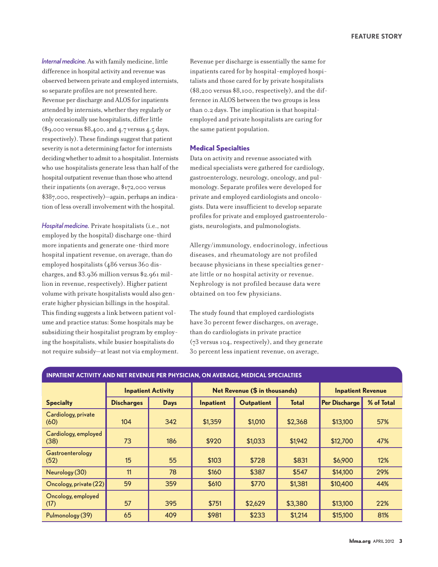*Internalmedicine.* As with family medicine, little difference in hospital activity and revenue was observed between private and employed internists, so separate profiles are not presented here. Revenue per discharge and ALOS forinpatients attended by internists, whether they regularly or only occasionally use hospitalists, differlittle (\$9,000 versus \$8,400, and 4.7 versus 4.5 days, respectively). These findings suggest that patient severity is not a determining factor for internists deciding whether to admit to a hospitalist. Internists who use hospitalists generate lessthan half of the hospital outpatient revenue than those who attend their inpatients (on average,  $\frac{1}{2}$ ,000 versus \$387,000,respectively)—again, perhaps an indication of less overall involvement with the hospital.

*Hospitalmedicine.* Private hospitalists(i.e., not employed by the hospital) discharge one-third more inpatients and generate one-third more hospital inpatient revenue, on average, than do employed hospitalists(486 versus 360 discharges, and \$3.936 million versus \$2.961 million in revenue, respectively). Higher patient volume with private hospitalists would also generate higher physician billings in the hospital. This finding suggests a link between patient volume and practice status: Some hospitals may be subsidizing their hospitalist program by employing the hospitalists, while busier hospitalists do not require subsidy—at least not via employment.

Revenue per discharge is essentially the same for inpatients cared for by hospital-employed hospitalists and those cared for by private hospitalists (\$8,200 versus \$8,100, respectively), and the difference in ALOS between the two groups is less than 0.2 days. The implication is that hospitalemployed and private hospitalists are caring for the same patient population.

#### **Medical Specialties**

Data on activity and revenue associated with medical specialists were gathered for cardiology, gastroenterology, neurology, oncology, and pulmonology. Separate profiles were developed for private and employed cardiologists and oncologists. Data were insufficient to develop separate profiles for private and employed gastroenterologists, neurologists, and pulmonologists.

Allergy/immunology, endocrinology, infectious diseases, and rheumatology are not profiled because physicians in these specialties generate little or no hospital activity or revenue. Nephrology is not profiled because data were obtained on too few physicians.

The study found that employed cardiologists have 30 percent fewer discharges, on average, than do cardiologists in private practice (73 versus 104, respectively), and they generate 30 percent less inpatient revenue, on average,

| <b>INPATIENT ACTIVITY AND NET REVENUE PER PHYSICIAN, ON AVERAGE, MEDICAL SPECIALTIES</b> |                   |                           |                               |                   |              |                          |            |  |  |
|------------------------------------------------------------------------------------------|-------------------|---------------------------|-------------------------------|-------------------|--------------|--------------------------|------------|--|--|
|                                                                                          |                   | <b>Inpatient Activity</b> | Net Revenue (\$ in thousands) |                   |              | <b>Inpatient Revenue</b> |            |  |  |
| <b>Specialty</b>                                                                         | <b>Discharges</b> | <b>Days</b>               | Inpatient                     | <b>Outpatient</b> | <b>Total</b> | <b>Per Discharge</b>     | % of Total |  |  |
| Cardiology, private<br>(60)                                                              | 104               | 342                       | \$1,359                       | \$1,010           | \$2,368      | \$13,100                 | 57%        |  |  |
| Cardiology, employed<br>(38)                                                             | 73                | 186                       | \$920                         | \$1,033           | \$1,942      | \$12,700                 | 47%        |  |  |
| Gastroenterology<br>(52)                                                                 | 15                | 55                        | \$103                         | \$728             | \$831        | \$6,900                  | 12%        |  |  |
| Neurology (30)                                                                           | 11                | 78                        | \$160                         | \$387             | \$547        | \$14,100                 | 29%        |  |  |
| Oncology, private (22)                                                                   | 59                | 359                       | \$610                         | \$770             | \$1,381      | \$10,400                 | 44%        |  |  |
| Oncology, employed<br>(17)                                                               | 57                | 395                       | \$751                         | \$2,629           | \$3,380      | \$13,100                 | 22%        |  |  |
| Pulmonology (39)                                                                         | 65                | 409                       | \$981                         | \$233             | \$1,214      | \$15,100                 | 81%        |  |  |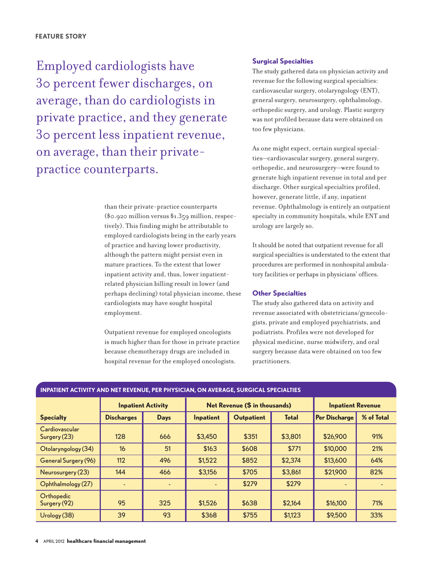Employed cardiologists have 30 percent fewer discharges, on average, than do cardiologists in private practice, and they generate 30 percent lessinpatient revenue, on average, than their privatepractice counterparts.

> than their private-practice counterparts (\$0.920 million versus \$1.359 million, respectively). This finding might be attributable to employed cardiologists being in the early years of practice and having lower productivity, although the pattern might persist even in mature practices. To the extent that lower inpatient activity and, thus, lower inpatientrelated physician billing result in lower (and perhaps declining) total physician income, these cardiologists may have sought hospital employment.

> Outpatient revenue for employed oncologists is much higher than for those in private practice because chemotherapy drugs are included in hospital revenue for the employed oncologists.

### **Surgical Specialties**

The study gathered data on physician activity and revenue for the following surgical specialties: cardiovascular surgery, otolaryngology (ENT), general surgery, neurosurgery, ophthalmology, orthopedic surgery, and urology. Plastic surgery was not profiled because data were obtained on too few physicians.

As one might expect, certain surgical specialties—cardiovascular surgery, general surgery, orthopedic, and neurosurgery—were found to generate high inpatient revenue in total and per discharge. Other surgical specialties profiled, however, generate little, if any, inpatient revenue. Ophthalmology is entirely an outpatient specialty in community hospitals, while ENT and urology are largely so.

It should be noted that outpatient revenue for all surgical specialties is understated to the extent that procedures are performed in nonhospital ambulatory facilities or perhaps in physicians' offices.

# **Other Specialties**

The study also gathered data on activity and revenue associated with obstetricians/gynecologists, private and employed psychiatrists, and podiatrists. Profiles were not developed for physical medicine, nurse midwifery, and oral surgery because data were obtained on too few practitioners.

#### **INPATIENT ACTIVITY AND NET REVENUE, PER PHYSICIAN, ON AVERAGE, SURGICAL SPECIALTIES**

|                                | <b>Inpatient Activity</b> |             |           | Net Revenue (\$ in thousands) | <b>Inpatient Revenue</b> |                      |            |
|--------------------------------|---------------------------|-------------|-----------|-------------------------------|--------------------------|----------------------|------------|
| <b>Specialty</b>               | <b>Discharges</b>         | <b>Days</b> | Inpatient | <b>Outpatient</b>             | <b>Total</b>             | <b>Per Discharge</b> | % of Total |
| Cardiovascular<br>Surgery (23) | 128                       | 666         | \$3,450   | \$351                         | \$3,801                  | \$26,900             | 91%        |
| Otolaryngology (34)            | 16                        | 51          | \$163     | \$608                         | \$771                    | \$10,000             | 21%        |
| General Surgery (96)           | 112                       | 496         | \$1,522   | \$852                         | \$2,374                  | \$13,600             | 64%        |
| Neurosurgery (23)              | 144                       | 466         | \$3,156   | \$705                         | \$3,861                  | \$21,900             | 82%        |
| Ophthalmology (27)             |                           |             |           | \$279                         | \$279                    |                      |            |
| Orthopedic<br>Surgery (92)     | 95                        | 325         | \$1,526   | \$638                         | \$2,164                  | \$16,100             | 71%        |
| Urology (38)                   | 39                        | 93          | \$368     | \$755                         | \$1,123                  | \$9,500              | 33%        |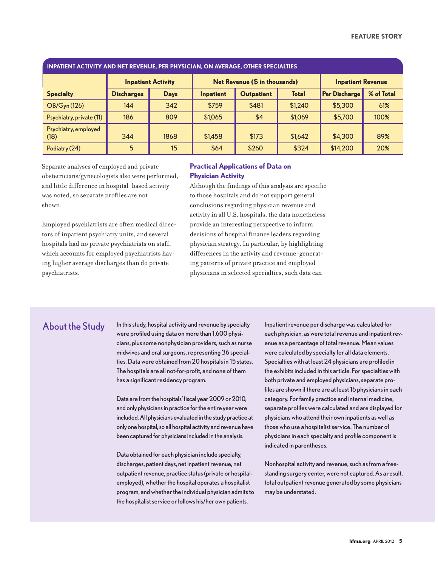| INPATIENT ACTIVITY AND NET REVENUE, PER PHYSICIAN, ON AVERAGE, OTHER SPECIALTIES . المسابق |                   |                           |           |                               |                          |                      |            |  |  |
|--------------------------------------------------------------------------------------------|-------------------|---------------------------|-----------|-------------------------------|--------------------------|----------------------|------------|--|--|
|                                                                                            |                   | <b>Inpatient Activity</b> |           | Net Revenue (\$ in thousands) | <b>Inpatient Revenue</b> |                      |            |  |  |
| <b>Specialty</b>                                                                           | <b>Discharges</b> | <b>Days</b>               | Inpatient | <b>Outpatient</b>             | <b>Total</b>             | <b>Per Discharge</b> | % of Total |  |  |
| <b>OB/Gyn (126)</b>                                                                        | 144               | 342                       | \$759     | \$481                         | \$1,240                  | \$5,300              | 61%        |  |  |
| Psychiatry, private (11)                                                                   | 186               | 809                       | \$1,065   | \$4                           | \$1,069                  | \$5,700              | 100%       |  |  |
| Psychiatry, employed<br>(18)                                                               | 344               | 1868                      | \$1,458   | \$173                         | \$1,642                  | \$4,300              | 89%        |  |  |
| Podiatry (24)                                                                              | 5                 | 15                        | \$64      | \$260                         | \$324                    | \$14,200             | 20%        |  |  |

#### **INPATIENT ACTIVITY AND NET REVENUE, PER PHYSICIAN, ON AVERAGE, OTHER SPECIALTIES**

Separate analyses of employed and private obstetricians/gynecologists also were performed, and little difference in hospital-based activity was noted, so separate profiles are not shown.

Employed psychiatrists are often medical directors of inpatient psychiatry units, and several hospitals had no private psychiatrists on staff, which accounts for employed psychiatrists having higher average discharges than do private psychiatrists.

# **Practical Applications of Data on Physician Activity**

Although the findings of this analysis are specific to those hospitals and do notsupport general conclusions regarding physician revenue and activity in all U.S. hospitals, the data nonetheless provide an interesting perspective to inform decisions of hospital finance leaders regarding physician strategy. In particular, by highlighting differences in the activity and revenue-generating patterns of private practice and employed physicians in selected specialties, such data can

About the Study In this study, hospital activity and revenue by specialty were profiled using data on more than 1,600 physicians, plus some nonphysician providers, such as nurse midwives and oral surgeons, representing 36 specialties. Data were obtained from 20 hospitals in 15 states. The hospitals are all not-for-profit, and none of them has a significant residency program.

> Data are from the hospitals' fiscal year 2009 or 2010, and only physicians in practice for the entire year were included.All physicians evaluated in the study practice at only one hospital, so all hospital activity and revenue have been captured for physiciansincluded in the analysis.

> Data obtained for each physician include specialty, discharges, patient days, net inpatient revenue, net outpatient revenue, practice status (private or hospitalemployed), whether the hospital operates a hospitalist program, and whether the individual physician admits to the hospitalist service or follows his/her own patients.

Inpatient revenue per discharge was calculated for each physician, as were total revenue and inpatient revenue as a percentage of total revenue. Mean values were calculated by specialty for all data elements. Specialties with at least 24 physicians are profiled in the exhibits included in this article. For specialties with both private and employed physicians, separate profiles are shown if there are at least 16 physicians in each category. For family practice and internal medicine, separate profiles were calculated and are displayed for physicians who attend their own inpatients as well as those who use a hospitalist service. The number of physicians in each specialty and profile component is indicated in parentheses.

Nonhospital activity and revenue, such as from a freestanding surgery center, were not captured. As a result, total outpatient revenue generated by some physicians may be understated.